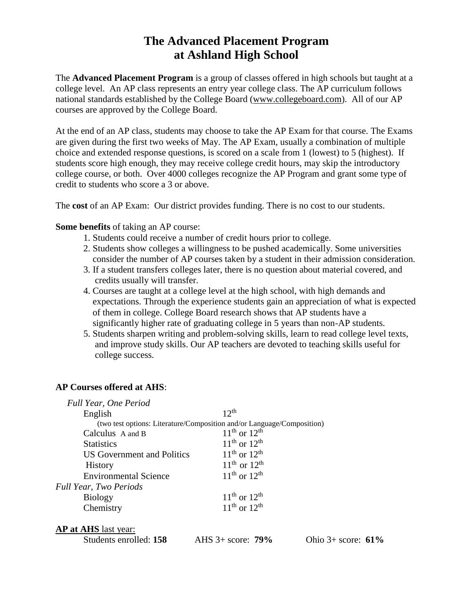# **The Advanced Placement Program at Ashland High School**

The **Advanced Placement Program** is a group of classes offered in high schools but taught at a college level. An AP class represents an entry year college class. The AP curriculum follows national standards established by the College Board [\(www.collegeboard.com\)](http://www.collegeboard.com/). All of our AP courses are approved by the College Board.

At the end of an AP class, students may choose to take the AP Exam for that course. The Exams are given during the first two weeks of May. The AP Exam, usually a combination of multiple choice and extended response questions, is scored on a scale from 1 (lowest) to 5 (highest). If students score high enough, they may receive college credit hours, may skip the introductory college course, or both. Over 4000 colleges recognize the AP Program and grant some type of credit to students who score a 3 or above.

The **cost** of an AP Exam: Our district provides funding. There is no cost to our students.

## **Some benefits** of taking an AP course:

- 1. Students could receive a number of credit hours prior to college.
- 2. Students show colleges a willingness to be pushed academically. Some universities consider the number of AP courses taken by a student in their admission consideration.
- 3. If a student transfers colleges later, there is no question about material covered, and credits usually will transfer.
- 4. Courses are taught at a college level at the high school, with high demands and expectations. Through the experience students gain an appreciation of what is expected of them in college. College Board research shows that AP students have a significantly higher rate of graduating college in 5 years than non-AP students.
- 5. Students sharpen writing and problem-solving skills, learn to read college level texts, and improve study skills. Our AP teachers are devoted to teaching skills useful for college success.

## **AP Courses offered at AHS**:

| Full Year, One Period        |                                                                        |
|------------------------------|------------------------------------------------------------------------|
| English                      | $12^{th}$                                                              |
|                              | (two test options: Literature/Composition and/or Language/Composition) |
| Calculus A and B             | $11^{th}$ or $12^{th}$                                                 |
| <b>Statistics</b>            | $11^{th}$ or $12^{th}$                                                 |
| US Government and Politics   | $11^{th}$ or $12^{th}$                                                 |
| <b>History</b>               | $11^{th}$ or $12^{th}$                                                 |
| <b>Environmental Science</b> | $11^{th}$ or $12^{th}$                                                 |
| Full Year, Two Periods       |                                                                        |
| <b>Biology</b>               | $11^{th}$ or $12^{th}$                                                 |
| Chemistry                    | $11^{th}$ or $12^{th}$                                                 |
|                              |                                                                        |
| <b>AP at AHS</b> last year:  |                                                                        |

Students enrolled: **158** AHS 3+ score: **79%** Ohio 3+ score: **61%**